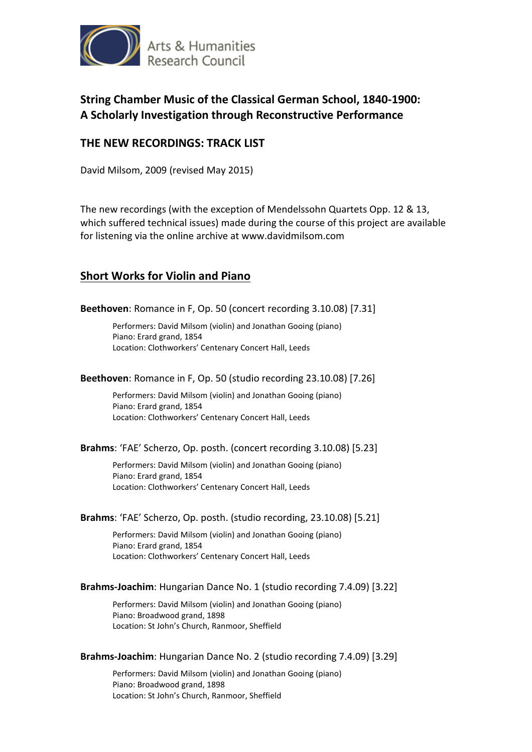

# **String Chamber Music of the Classical German School, 1840-1900: A Scholarly Investigation through Reconstructive Performance**

## **THE NEW RECORDINGS: TRACK LIST**

David Milsom, 2009 (revised May 2015)

The new recordings (with the exception of Mendelssohn Quartets Opp. 12 & 13, which suffered technical issues) made during the course of this project are available for listening via the online archive at www.davidmilsom.com

## **Short Works for Violin and Piano**

**Beethoven**: Romance in F, Op. 50 (concert recording 3.10.08) [7.31]

Performers: David Milsom (violin) and Jonathan Gooing (piano) Piano: Erard grand, 1854 Location: Clothworkers' Centenary Concert Hall, Leeds

### **Beethoven**: Romance in F, Op. 50 (studio recording 23.10.08) [7.26]

Performers: David Milsom (violin) and Jonathan Gooing (piano) Piano: Erard grand, 1854 Location: Clothworkers' Centenary Concert Hall, Leeds

### **Brahms**: 'FAE' Scherzo, Op. posth. (concert recording 3.10.08) [5.23]

Performers: David Milsom (violin) and Jonathan Gooing (piano) Piano: Erard grand, 1854 Location: Clothworkers' Centenary Concert Hall, Leeds

### **Brahms**: 'FAE' Scherzo, Op. posth. (studio recording, 23.10.08) [5.21]

Performers: David Milsom (violin) and Jonathan Gooing (piano) Piano: Erard grand, 1854 Location: Clothworkers' Centenary Concert Hall, Leeds

### **Brahms-Joachim**: Hungarian Dance No. 1 (studio recording 7.4.09) [3.22]

Performers: David Milsom (violin) and Jonathan Gooing (piano) Piano: Broadwood grand, 1898 Location: St John's Church, Ranmoor, Sheffield

### **Brahms-Joachim**: Hungarian Dance No. 2 (studio recording 7.4.09) [3.29]

Performers: David Milsom (violin) and Jonathan Gooing (piano) Piano: Broadwood grand, 1898 Location: St John's Church, Ranmoor, Sheffield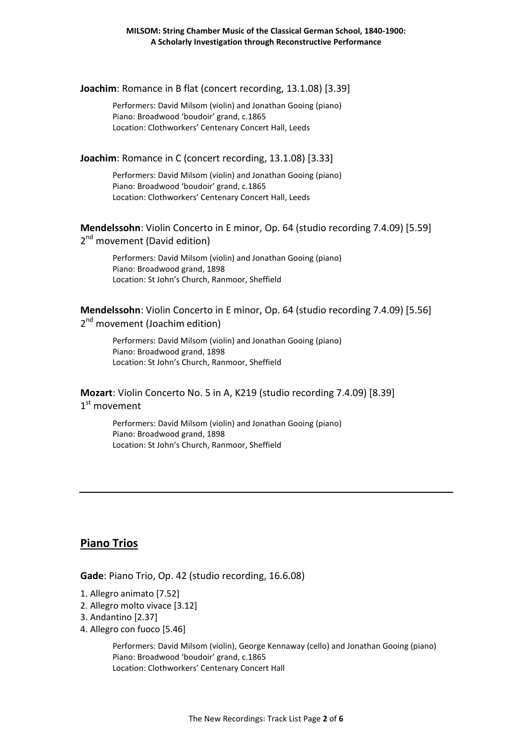**Joachim**: Romance in B flat (concert recording, 13.1.08) [3.39]

Performers: David Milsom (violin) and Jonathan Gooing (piano) Piano: Broadwood 'boudoir' grand, c.1865 Location: Clothworkers' Centenary Concert Hall, Leeds

### **Joachim**: Romance in C (concert recording, 13.1.08) [3.33]

Performers: David Milsom (violin) and Jonathan Gooing (piano) Piano: Broadwood 'boudoir' grand, c.1865 Location: Clothworkers' Centenary Concert Hall, Leeds

**Mendelssohn**: Violin Concerto in E minor, Op. 64 (studio recording 7.4.09) [5.59] 2<sup>nd</sup> movement (David edition)

Performers: David Milsom (violin) and Jonathan Gooing (piano) Piano: Broadwood grand, 1898 Location: St John's Church, Ranmoor, Sheffield

### **Mendelssohn**: Violin Concerto in E minor, Op. 64 (studio recording 7.4.09) [5.56] 2<sup>nd</sup> movement (Joachim edition)

Performers: David Milsom (violin) and Jonathan Gooing (piano) Piano: Broadwood grand, 1898 Location: St John's Church, Ranmoor, Sheffield

**Mozart**: Violin Concerto No. 5 in A, K219 (studio recording 7.4.09) [8.39] 1<sup>st</sup> movement

> Performers: David Milsom (violin) and Jonathan Gooing (piano) Piano: Broadwood grand, 1898 Location: St John's Church, Ranmoor, Sheffield

## **Piano Trios**

**Gade**: Piano Trio, Op. 42 (studio recording, 16.6.08)

- 1. Allegro animato [7.52]
- 2. Allegro molto vivace [3.12]
- 3. Andantino [2.37]
- 4. Allegro con fuoco [5.46]

Performers: David Milsom (violin), George Kennaway (cello) and Jonathan Gooing (piano) Piano: Broadwood 'boudoir' grand, c.1865 Location: Clothworkers' Centenary Concert Hall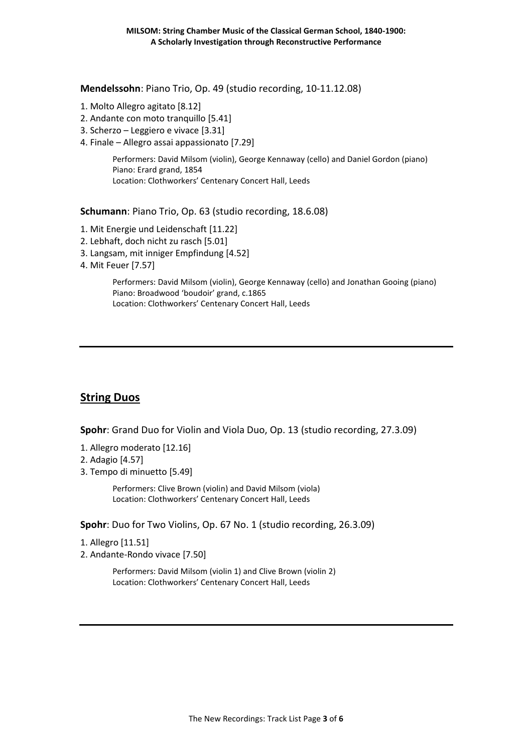**Mendelssohn**: Piano Trio, Op. 49 (studio recording, 10-11.12.08)

- 1. Molto Allegro agitato [8.12]
- 2. Andante con moto tranquillo [5.41]
- 3. Scherzo Leggiero e vivace [3.31]
- 4. Finale Allegro assai appassionato [7.29]

Performers: David Milsom (violin), George Kennaway (cello) and Daniel Gordon (piano) Piano: Erard grand, 1854 Location: Clothworkers' Centenary Concert Hall, Leeds

**Schumann**: Piano Trio, Op. 63 (studio recording, 18.6.08)

- 1. Mit Energie und Leidenschaft [11.22]
- 2. Lebhaft, doch nicht zu rasch [5.01]
- 3. Langsam, mit inniger Empfindung [4.52]
- 4. Mit Feuer [7.57]

Performers: David Milsom (violin), George Kennaway (cello) and Jonathan Gooing (piano) Piano: Broadwood 'boudoir' grand, c.1865 Location: Clothworkers' Centenary Concert Hall, Leeds

# **String Duos**

**Spohr**: Grand Duo for Violin and Viola Duo, Op. 13 (studio recording, 27.3.09)

- 1. Allegro moderato [12.16]
- 2. Adagio [4.57]
- 3. Tempo di minuetto [5.49]

Performers: Clive Brown (violin) and David Milsom (viola) Location: Clothworkers' Centenary Concert Hall, Leeds

**Spohr**: Duo for Two Violins, Op. 67 No. 1 (studio recording, 26.3.09)

- 1. Allegro [11.51]
- 2. Andante-Rondo vivace [7.50]

Performers: David Milsom (violin 1) and Clive Brown (violin 2) Location: Clothworkers' Centenary Concert Hall, Leeds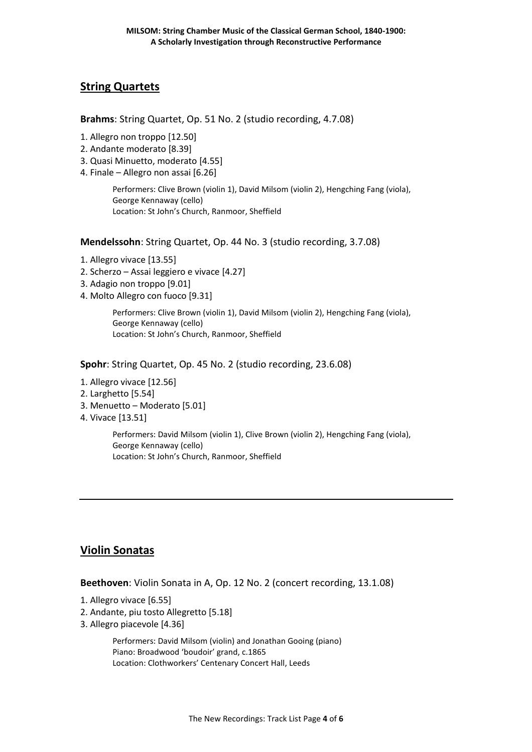## **String Quartets**

**Brahms**: String Quartet, Op. 51 No. 2 (studio recording, 4.7.08)

- 1. Allegro non troppo [12.50]
- 2. Andante moderato [8.39]
- 3. Quasi Minuetto, moderato [4.55]
- 4. Finale Allegro non assai [6.26]

Performers: Clive Brown (violin 1), David Milsom (violin 2), Hengching Fang (viola), George Kennaway (cello) Location: St John's Church, Ranmoor, Sheffield

**Mendelssohn**: String Quartet, Op. 44 No. 3 (studio recording, 3.7.08)

- 1. Allegro vivace [13.55]
- 2. Scherzo Assai leggiero e vivace [4.27]
- 3. Adagio non troppo [9.01]
- 4. Molto Allegro con fuoco [9.31]

Performers: Clive Brown (violin 1), David Milsom (violin 2), Hengching Fang (viola), George Kennaway (cello) Location: St John's Church, Ranmoor, Sheffield

**Spohr**: String Quartet, Op. 45 No. 2 (studio recording, 23.6.08)

- 1. Allegro vivace [12.56]
- 2. Larghetto [5.54]
- 3. Menuetto Moderato [5.01]
- 4. Vivace [13.51]

Performers: David Milsom (violin 1), Clive Brown (violin 2), Hengching Fang (viola), George Kennaway (cello) Location: St John's Church, Ranmoor, Sheffield

## **Violin Sonatas**

**Beethoven**: Violin Sonata in A, Op. 12 No. 2 (concert recording, 13.1.08)

- 1. Allegro vivace [6.55]
- 2. Andante, piu tosto Allegretto [5.18]
- 3. Allegro piacevole [4.36]

Performers: David Milsom (violin) and Jonathan Gooing (piano) Piano: Broadwood 'boudoir' grand, c.1865 Location: Clothworkers' Centenary Concert Hall, Leeds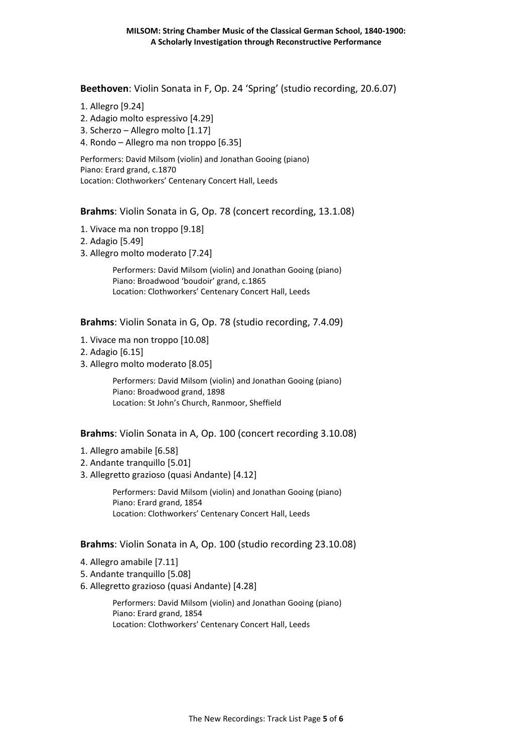**Beethoven**: Violin Sonata in F, Op. 24 'Spring' (studio recording, 20.6.07)

- 1. Allegro [9.24]
- 2. Adagio molto espressivo [4.29]
- 3. Scherzo Allegro molto [1.17]
- 4. Rondo Allegro ma non troppo [6.35]

Performers: David Milsom (violin) and Jonathan Gooing (piano) Piano: Erard grand, c.1870 Location: Clothworkers' Centenary Concert Hall, Leeds

**Brahms**: Violin Sonata in G, Op. 78 (concert recording, 13.1.08)

- 1. Vivace ma non troppo [9.18]
- 2. Adagio [5.49]
- 3. Allegro molto moderato [7.24]

Performers: David Milsom (violin) and Jonathan Gooing (piano) Piano: Broadwood 'boudoir' grand, c.1865 Location: Clothworkers' Centenary Concert Hall, Leeds

**Brahms**: Violin Sonata in G, Op. 78 (studio recording, 7.4.09)

- 1. Vivace ma non troppo [10.08]
- 2. Adagio [6.15]
- 3. Allegro molto moderato [8.05]

Performers: David Milsom (violin) and Jonathan Gooing (piano) Piano: Broadwood grand, 1898 Location: St John's Church, Ranmoor, Sheffield

### **Brahms**: Violin Sonata in A, Op. 100 (concert recording 3.10.08)

- 1. Allegro amabile [6.58]
- 2. Andante tranquillo [5.01]
- 3. Allegretto grazioso (quasi Andante) [4.12]

Performers: David Milsom (violin) and Jonathan Gooing (piano) Piano: Erard grand, 1854 Location: Clothworkers' Centenary Concert Hall, Leeds

### **Brahms**: Violin Sonata in A, Op. 100 (studio recording 23.10.08)

- 4. Allegro amabile [7.11]
- 5. Andante tranquillo [5.08]
- 6. Allegretto grazioso (quasi Andante) [4.28]

Performers: David Milsom (violin) and Jonathan Gooing (piano) Piano: Erard grand, 1854 Location: Clothworkers' Centenary Concert Hall, Leeds